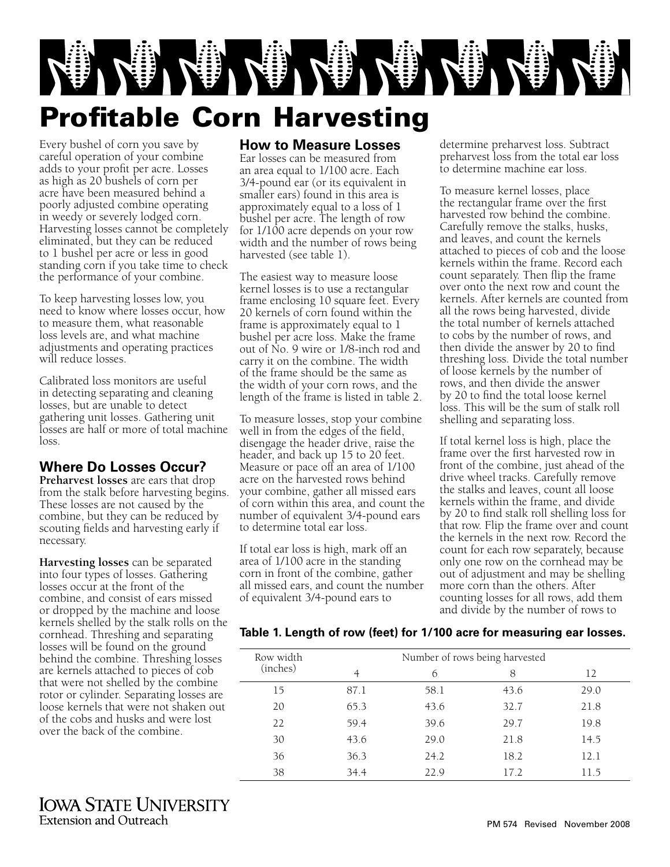

**How to Measure Losses** Ear losses can be measured from an area equal to 1/100 acre. Each 3/4-pound ear (or its equivalent in smaller ears) found in this area is approximately equal to a loss of 1 bushel per acre. The length of row for 1/100 acre depends on your row width and the number of rows being

# Profitable Corn Harvesting

Every bushel of corn you save by careful operation of your combine adds to your profit per acre. Losses as high as 20 bushels of corn per acre have been measured behind a poorly adjusted combine operating in weedy or severely lodged corn. Harvesting losses cannot be completely eliminated, but they can be reduced to 1 bushel per acre or less in good standing corn if you take time to check the performance of your combine.

To keep harvesting losses low, you need to know where losses occur, how to measure them, what reasonable loss levels are, and what machine adjustments and operating practices will reduce losses.

Calibrated loss monitors are useful in detecting separating and cleaning losses, but are unable to detect gathering unit losses. Gathering unit losses are half or more of total machine loss.

## **Where Do Losses Occur?**

**Preharvest losses** are ears that drop from the stalk before harvesting begins. These losses are not caused by the combine, but they can be reduced by scouting fields and harvesting early if necessary.

**Harvesting losses** can be separated into four types of losses. Gathering losses occur at the front of the combine, and consist of ears missed or dropped by the machine and loose kernels shelled by the stalk rolls on the cornhead. Threshing and separating losses will be found on the ground behind the combine. Threshing losses are kernels attached to pieces of cob that were not shelled by the combine rotor or cylinder. Separating losses are loose kernels that were not shaken out of the cobs and husks and were lost over the back of the combine.

# harvested (see table 1).

The easiest way to measure loose kernel losses is to use a rectangular frame enclosing 10 square feet. Every 20 kernels of corn found within the frame is approximately equal to 1 bushel per acre loss. Make the frame out of No. 9 wire or 1/8-inch rod and carry it on the combine. The width of the frame should be the same as the width of your corn rows, and the length of the frame is listed in table 2.

To measure losses, stop your combine well in from the edges of the field, disengage the header drive, raise the header, and back up 15 to 20 feet. Measure or pace off an area of 1/100 acre on the harvested rows behind your combine, gather all missed ears of corn within this area, and count the number of equivalent 3/4-pound ears to determine total ear loss.

If total ear loss is high, mark off an area of 1/100 acre in the standing corn in front of the combine, gather all missed ears, and count the number of equivalent 3/4-pound ears to

determine preharvest loss. Subtract preharvest loss from the total ear loss to determine machine ear loss.

To measure kernel losses, place the rectangular frame over the first harvested row behind the combine. Carefully remove the stalks, husks, and leaves, and count the kernels attached to pieces of cob and the loose kernels within the frame. Record each count separately. Then flip the frame over onto the next row and count the kernels. After kernels are counted from all the rows being harvested, divide the total number of kernels attached to cobs by the number of rows, and then divide the answer by 20 to find threshing loss. Divide the total number of loose kernels by the number of rows, and then divide the answer by 20 to find the total loose kernel loss. This will be the sum of stalk roll shelling and separating loss.

If total kernel loss is high, place the frame over the first harvested row in front of the combine, just ahead of the drive wheel tracks. Carefully remove the stalks and leaves, count all loose kernels within the frame, and divide by 20 to find stalk roll shelling loss for that row. Flip the frame over and count the kernels in the next row. Record the count for each row separately, because only one row on the cornhead may be out of adjustment and may be shelling more corn than the others. After counting losses for all rows, add them and divide by the number of rows to

#### **Table 1. Length of row (feet) for 1/100 acre for measuring ear losses.**

| Row width<br>(inches) | Number of rows being harvested |      |      |      |
|-----------------------|--------------------------------|------|------|------|
|                       | 4                              | 6    | 8    | 12   |
| 15                    | 87.1                           | 58.1 | 43.6 | 29.0 |
| 20                    | 65.3                           | 43.6 | 32.7 | 21.8 |
| 22                    | 59.4                           | 39.6 | 29.7 | 19.8 |
| 30                    | 43.6                           | 29.0 | 21.8 | 14.5 |
| 36                    | 36.3                           | 24.2 | 18.2 | 12.1 |
| 38                    | 34.4                           | 22.9 | 17.2 | 11.5 |